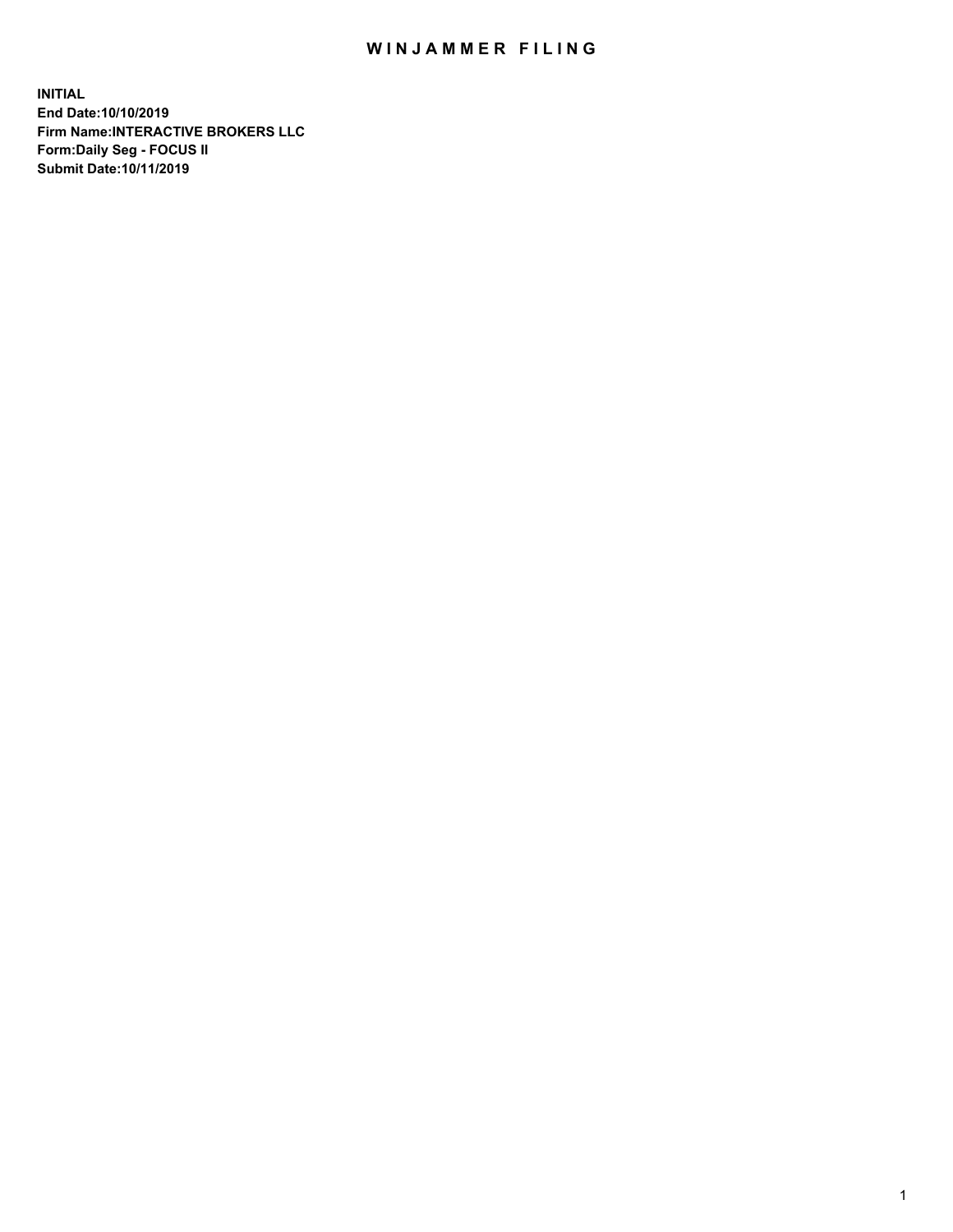## WIN JAMMER FILING

**INITIAL End Date:10/10/2019 Firm Name:INTERACTIVE BROKERS LLC Form:Daily Seg - FOCUS II Submit Date:10/11/2019**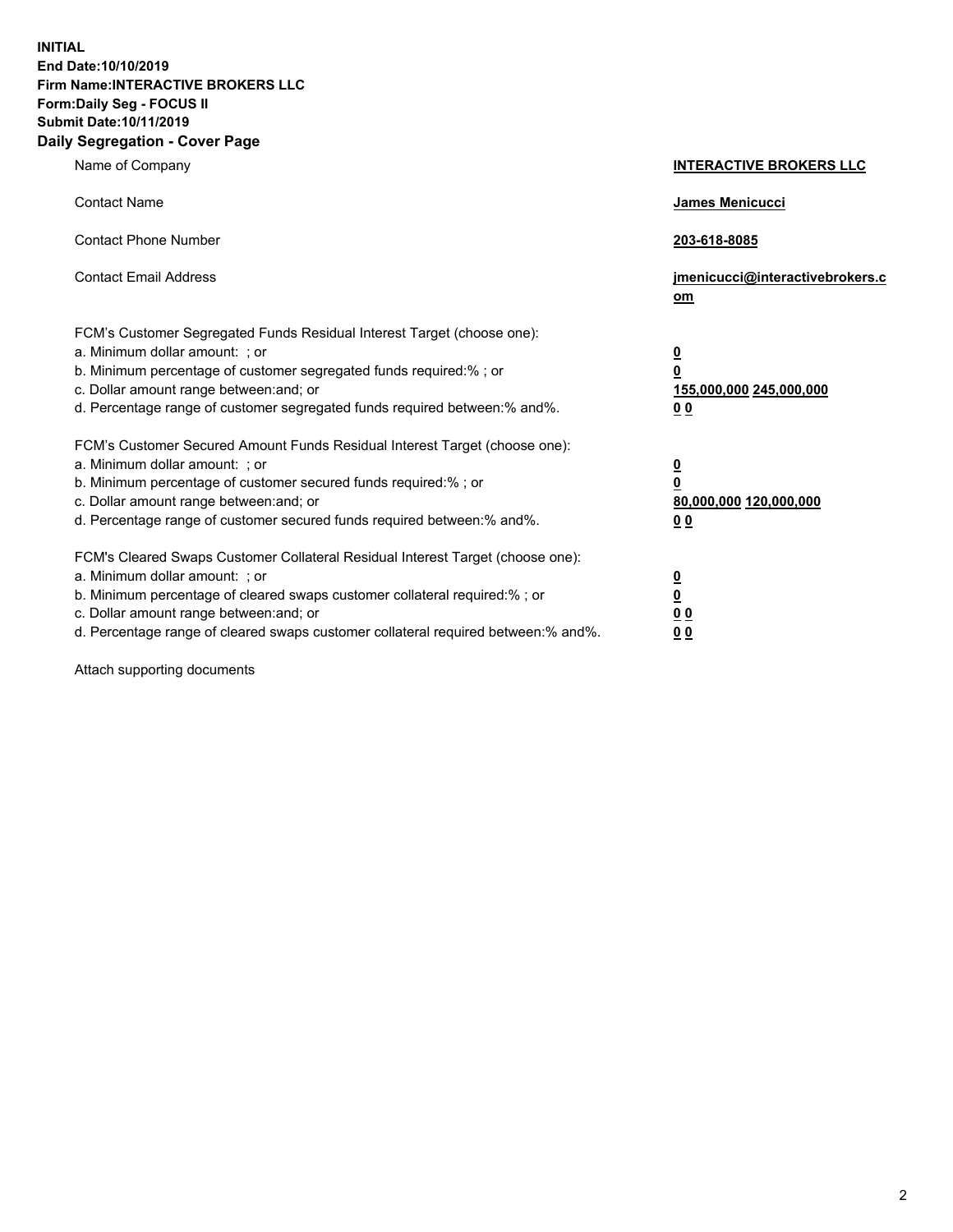**INITIAL End Date:10/10/2019 Firm Name:INTERACTIVE BROKERS LLC Form:Daily Seg - FOCUS II Submit Date:10/11/2019 Daily Segregation - Cover Page**

| Name of Company                                                                                                                                                                                                                                                                                                                | <b>INTERACTIVE BROKERS LLC</b>                                                                  |
|--------------------------------------------------------------------------------------------------------------------------------------------------------------------------------------------------------------------------------------------------------------------------------------------------------------------------------|-------------------------------------------------------------------------------------------------|
| <b>Contact Name</b>                                                                                                                                                                                                                                                                                                            | James Menicucci                                                                                 |
| <b>Contact Phone Number</b>                                                                                                                                                                                                                                                                                                    | 203-618-8085                                                                                    |
| <b>Contact Email Address</b>                                                                                                                                                                                                                                                                                                   | jmenicucci@interactivebrokers.c<br>om                                                           |
| FCM's Customer Segregated Funds Residual Interest Target (choose one):<br>a. Minimum dollar amount: ; or<br>b. Minimum percentage of customer segregated funds required:% ; or<br>c. Dollar amount range between: and; or<br>d. Percentage range of customer segregated funds required between:% and%.                         | $\overline{\mathbf{0}}$<br>$\overline{\mathbf{0}}$<br>155,000,000 245,000,000<br>0 <sub>0</sub> |
| FCM's Customer Secured Amount Funds Residual Interest Target (choose one):<br>a. Minimum dollar amount: ; or<br>b. Minimum percentage of customer secured funds required:% ; or<br>c. Dollar amount range between: and; or<br>d. Percentage range of customer secured funds required between:% and%.                           | $\overline{\mathbf{0}}$<br>0<br>80,000,000 120,000,000<br>0 <sub>0</sub>                        |
| FCM's Cleared Swaps Customer Collateral Residual Interest Target (choose one):<br>a. Minimum dollar amount: ; or<br>b. Minimum percentage of cleared swaps customer collateral required:% ; or<br>c. Dollar amount range between: and; or<br>d. Percentage range of cleared swaps customer collateral required between:% and%. | $\overline{\mathbf{0}}$<br><u>0</u><br>$\underline{0}$ $\underline{0}$<br>00                    |

Attach supporting documents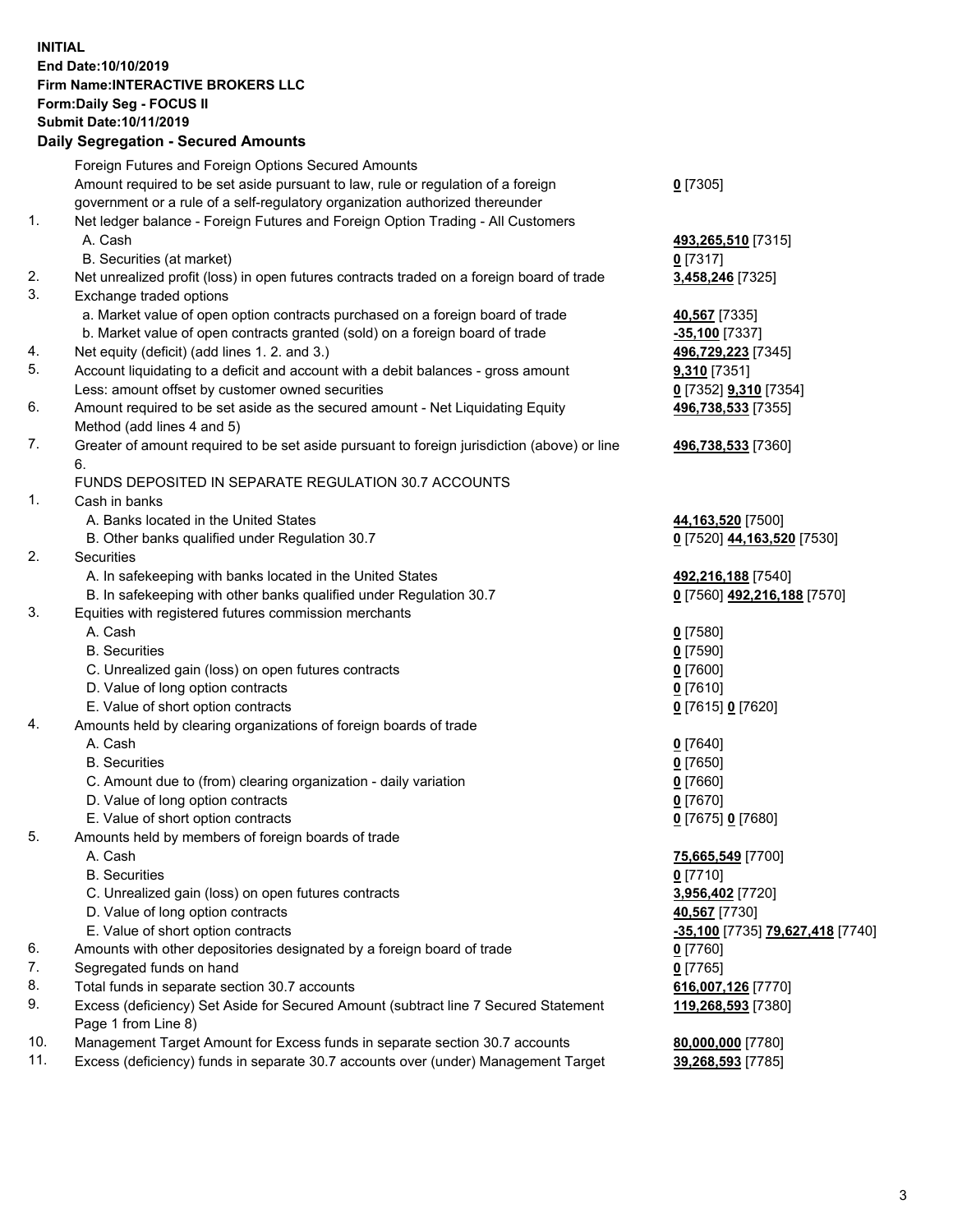## **INITIAL End Date:10/10/2019 Firm Name:INTERACTIVE BROKERS LLC Form:Daily Seg - FOCUS II Submit Date:10/11/2019 Daily Segregation - Secured Amounts**

|          | Daily Segregation - Secured Amounts                                                                        |                                  |
|----------|------------------------------------------------------------------------------------------------------------|----------------------------------|
|          | Foreign Futures and Foreign Options Secured Amounts                                                        |                                  |
|          | Amount required to be set aside pursuant to law, rule or regulation of a foreign                           | $0$ [7305]                       |
|          | government or a rule of a self-regulatory organization authorized thereunder                               |                                  |
| 1.       | Net ledger balance - Foreign Futures and Foreign Option Trading - All Customers                            |                                  |
|          | A. Cash                                                                                                    | 493,265,510 [7315]               |
|          | B. Securities (at market)                                                                                  | $0$ [7317]                       |
| 2.       | Net unrealized profit (loss) in open futures contracts traded on a foreign board of trade                  | 3,458,246 [7325]                 |
| 3.       | Exchange traded options                                                                                    |                                  |
|          | a. Market value of open option contracts purchased on a foreign board of trade                             | 40,567 [7335]                    |
|          | b. Market value of open contracts granted (sold) on a foreign board of trade                               | $-35,100$ [7337]                 |
| 4.       | Net equity (deficit) (add lines 1.2. and 3.)                                                               | 496,729,223 [7345]               |
| 5.       | Account liquidating to a deficit and account with a debit balances - gross amount                          | 9,310 [7351]                     |
|          | Less: amount offset by customer owned securities                                                           | 0 [7352] 9,310 [7354]            |
| 6.       | Amount required to be set aside as the secured amount - Net Liquidating Equity                             | 496,738,533 [7355]               |
|          | Method (add lines 4 and 5)                                                                                 |                                  |
| 7.       | Greater of amount required to be set aside pursuant to foreign jurisdiction (above) or line                | 496,738,533 [7360]               |
|          | 6.                                                                                                         |                                  |
|          | FUNDS DEPOSITED IN SEPARATE REGULATION 30.7 ACCOUNTS                                                       |                                  |
| 1.       | Cash in banks                                                                                              |                                  |
|          | A. Banks located in the United States                                                                      | 44, 163, 520 [7500]              |
|          | B. Other banks qualified under Regulation 30.7                                                             | 0 [7520] 44,163,520 [7530]       |
| 2.       | Securities                                                                                                 |                                  |
|          | A. In safekeeping with banks located in the United States                                                  | 492,216,188 [7540]               |
|          | B. In safekeeping with other banks qualified under Regulation 30.7                                         | 0 [7560] 492,216,188 [7570]      |
| 3.       | Equities with registered futures commission merchants                                                      |                                  |
|          | A. Cash                                                                                                    | $0$ [7580]                       |
|          | <b>B.</b> Securities                                                                                       | $0$ [7590]                       |
|          | C. Unrealized gain (loss) on open futures contracts                                                        | $0$ [7600]                       |
|          | D. Value of long option contracts                                                                          | $0$ [7610]                       |
|          | E. Value of short option contracts                                                                         | 0 [7615] 0 [7620]                |
| 4.       | Amounts held by clearing organizations of foreign boards of trade                                          |                                  |
|          | A. Cash                                                                                                    | $0$ [7640]                       |
|          | <b>B.</b> Securities                                                                                       | $0$ [7650]                       |
|          | C. Amount due to (from) clearing organization - daily variation                                            | $0$ [7660]                       |
|          | D. Value of long option contracts                                                                          | $0$ [7670]                       |
|          | E. Value of short option contracts                                                                         | 0 [7675] 0 [7680]                |
| 5.       | Amounts held by members of foreign boards of trade                                                         |                                  |
|          | A. Cash                                                                                                    | 75,665,549 [7700]                |
|          | <b>B.</b> Securities                                                                                       | $0$ [7710]                       |
|          | C. Unrealized gain (loss) on open futures contracts                                                        | 3,956,402 [7720]                 |
|          | D. Value of long option contracts                                                                          | 40,567 [7730]                    |
|          | E. Value of short option contracts                                                                         | -35,100 [7735] 79,627,418 [7740] |
| 6.       | Amounts with other depositories designated by a foreign board of trade                                     | $0$ [7760]                       |
| 7.       | Segregated funds on hand                                                                                   | $0$ [7765]                       |
| 8.<br>9. | Total funds in separate section 30.7 accounts                                                              | 616,007,126 [7770]               |
|          | Excess (deficiency) Set Aside for Secured Amount (subtract line 7 Secured Statement<br>Page 1 from Line 8) | 119,268,593 [7380]               |
| 10.      | Management Target Amount for Excess funds in separate section 30.7 accounts                                | 80,000,000 [7780]                |
| 11.      | Excess (deficiency) funds in separate 30.7 accounts over (under) Management Target                         | 39,268,593 [7785]                |
|          |                                                                                                            |                                  |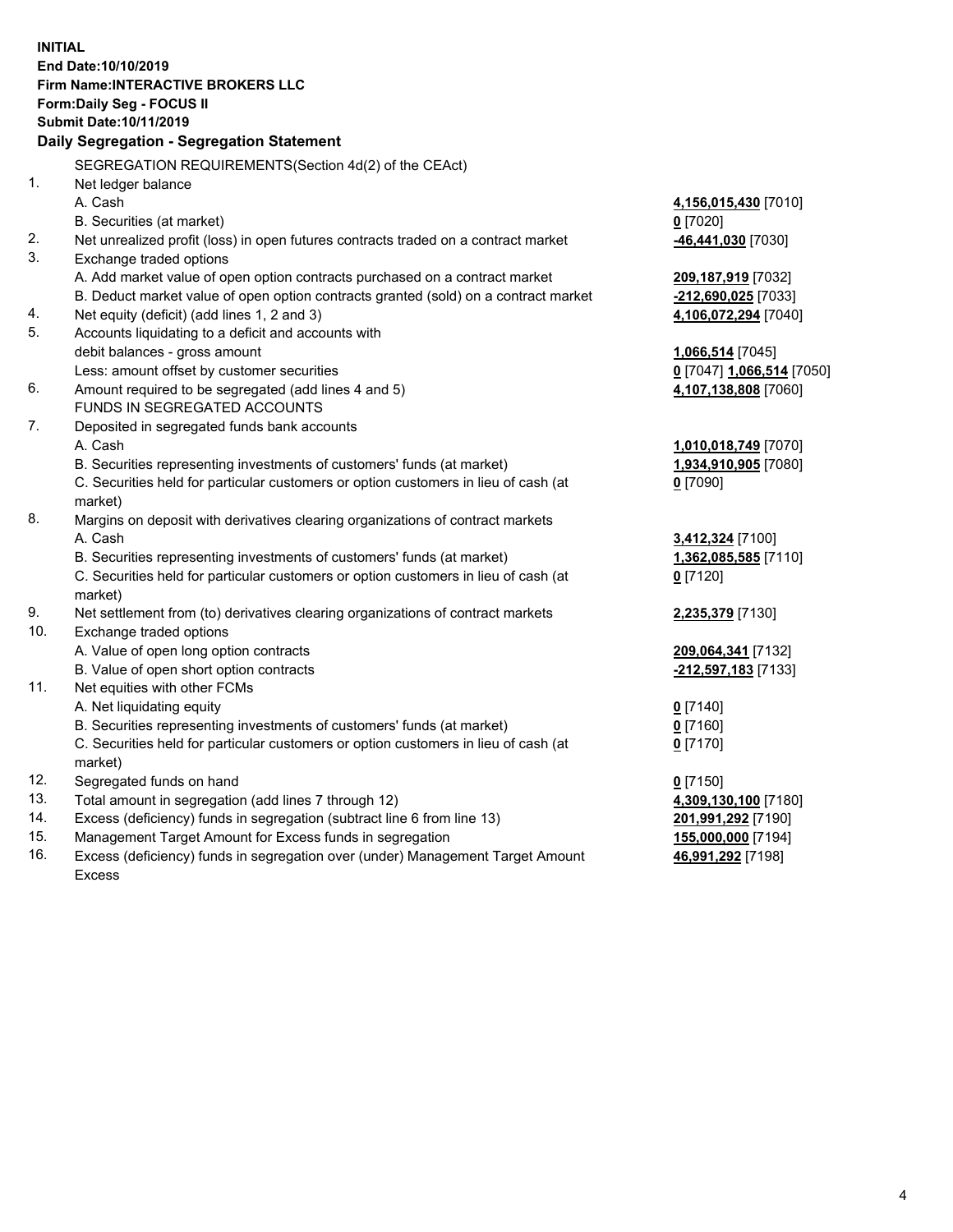**INITIAL End Date:10/10/2019 Firm Name:INTERACTIVE BROKERS LLC Form:Daily Seg - FOCUS II Submit Date:10/11/2019 Daily Segregation - Segregation Statement** SEGREGATION REQUIREMENTS(Section 4d(2) of the CEAct) 1. Net ledger balance A. Cash **4,156,015,430** [7010] B. Securities (at market) **0** [7020] 2. Net unrealized profit (loss) in open futures contracts traded on a contract market **-46,441,030** [7030] 3. Exchange traded options A. Add market value of open option contracts purchased on a contract market **209,187,919** [7032] B. Deduct market value of open option contracts granted (sold) on a contract market **-212,690,025** [7033] 4. Net equity (deficit) (add lines 1, 2 and 3) **4,106,072,294** [7040] 5. Accounts liquidating to a deficit and accounts with debit balances - gross amount **1,066,514** [7045] Less: amount offset by customer securities **0** [7047] **1,066,514** [7050] 6. Amount required to be segregated (add lines 4 and 5) **4,107,138,808** [7060] FUNDS IN SEGREGATED ACCOUNTS 7. Deposited in segregated funds bank accounts A. Cash **1,010,018,749** [7070] B. Securities representing investments of customers' funds (at market) **1,934,910,905** [7080] C. Securities held for particular customers or option customers in lieu of cash (at market) **0** [7090] 8. Margins on deposit with derivatives clearing organizations of contract markets A. Cash **3,412,324** [7100] B. Securities representing investments of customers' funds (at market) **1,362,085,585** [7110] C. Securities held for particular customers or option customers in lieu of cash (at market) **0** [7120] 9. Net settlement from (to) derivatives clearing organizations of contract markets **2,235,379** [7130] 10. Exchange traded options A. Value of open long option contracts **209,064,341** [7132] B. Value of open short option contracts **-212,597,183** [7133] 11. Net equities with other FCMs A. Net liquidating equity **0** [7140] B. Securities representing investments of customers' funds (at market) **0** [7160] C. Securities held for particular customers or option customers in lieu of cash (at market) **0** [7170] 12. Segregated funds on hand **0** [7150] 13. Total amount in segregation (add lines 7 through 12) **4,309,130,100** [7180] 14. Excess (deficiency) funds in segregation (subtract line 6 from line 13) **201,991,292** [7190] 15. Management Target Amount for Excess funds in segregation **155,000,000** [7194]

16. Excess (deficiency) funds in segregation over (under) Management Target Amount Excess

**46,991,292** [7198]